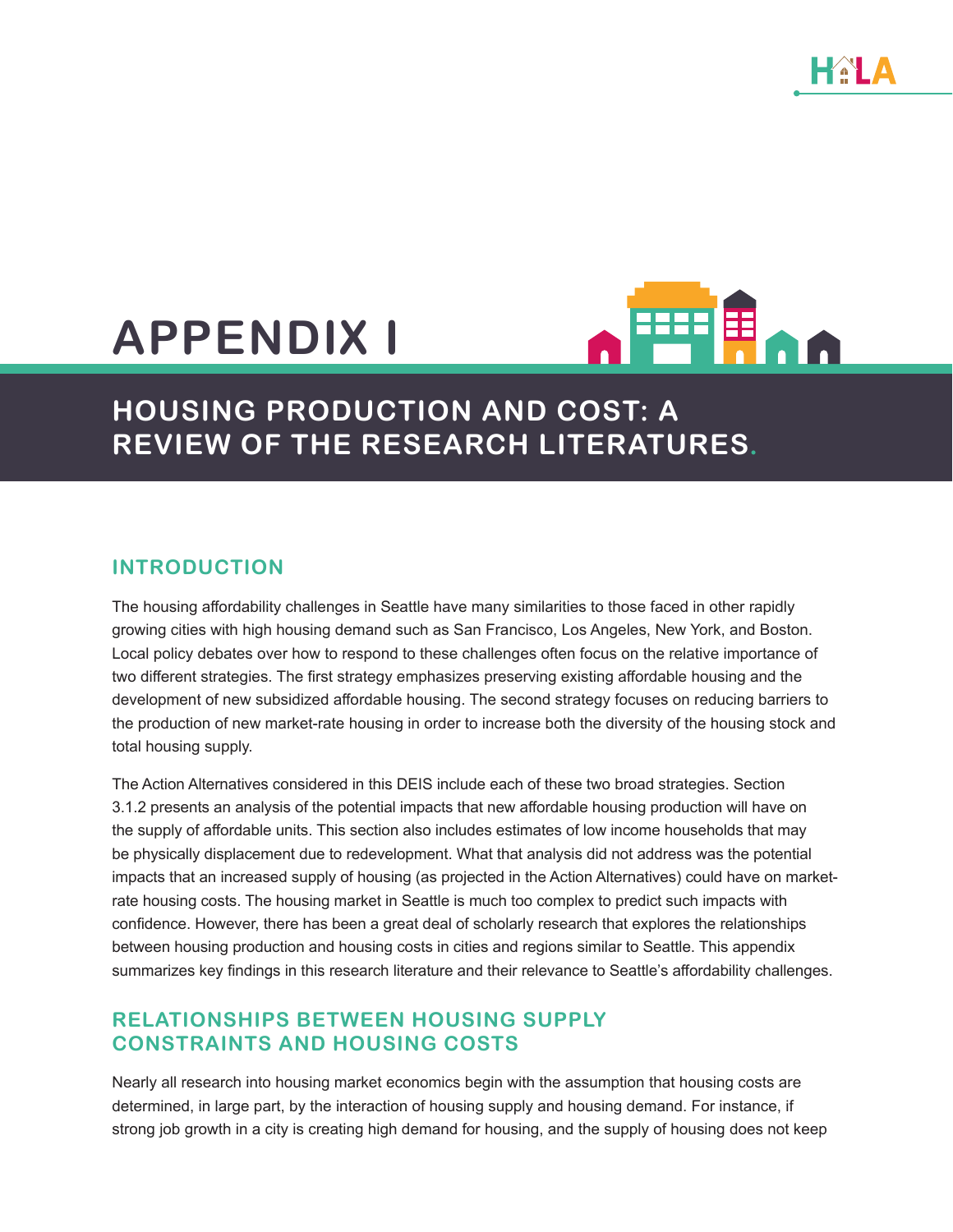# **APPENDIX I**



## **HOUSING PRODUCTION AND COST: A REVIEW OF THE RESEARCH LITERATURES.**

#### **INTRODUCTION**

The housing affordability challenges in Seattle have many similarities to those faced in other rapidly growing cities with high housing demand such as San Francisco, Los Angeles, New York, and Boston. Local policy debates over how to respond to these challenges often focus on the relative importance of two different strategies. The first strategy emphasizes preserving existing affordable housing and the development of new subsidized affordable housing. The second strategy focuses on reducing barriers to the production of new market-rate housing in order to increase both the diversity of the housing stock and total housing supply.

The Action Alternatives considered in this DEIS include each of these two broad strategies. Section 3.1.2 presents an analysis of the potential impacts that new affordable housing production will have on the supply of affordable units. This section also includes estimates of low income households that may be physically displacement due to redevelopment. What that analysis did not address was the potential impacts that an increased supply of housing (as projected in the Action Alternatives) could have on marketrate housing costs. The housing market in Seattle is much too complex to predict such impacts with confidence. However, there has been a great deal of scholarly research that explores the relationships between housing production and housing costs in cities and regions similar to Seattle. This appendix summarizes key findings in this research literature and their relevance to Seattle's affordability challenges.

### **RELATIONSHIPS BETWEEN HOUSING SUPPLY CONSTRAINTS AND HOUSING COSTS**

Nearly all research into housing market economics begin with the assumption that housing costs are determined, in large part, by the interaction of housing supply and housing demand. For instance, if strong job growth in a city is creating high demand for housing, and the supply of housing does not keep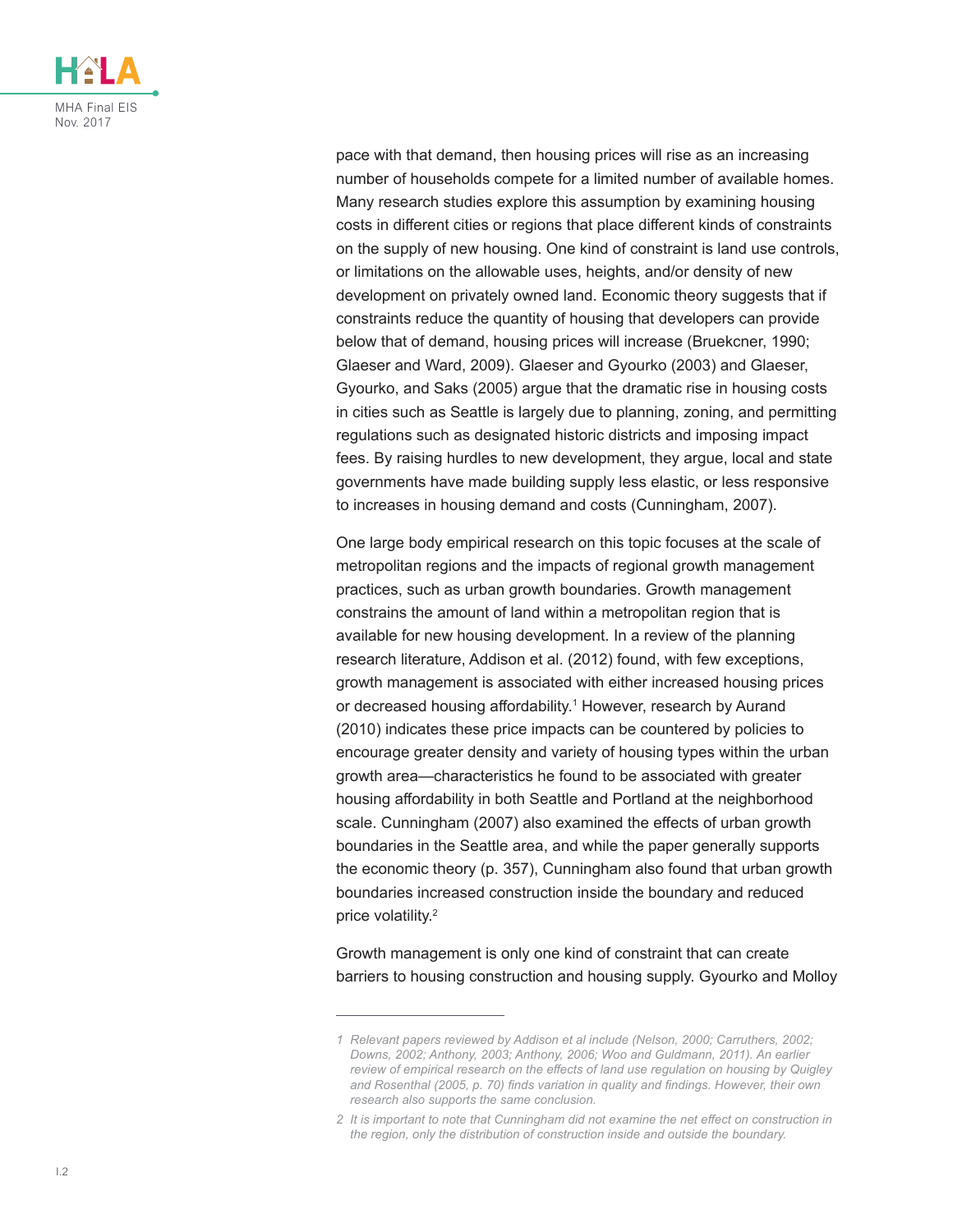

pace with that demand, then housing prices will rise as an increasing number of households compete for a limited number of available homes. Many research studies explore this assumption by examining housing costs in different cities or regions that place different kinds of constraints on the supply of new housing. One kind of constraint is land use controls, or limitations on the allowable uses, heights, and/or density of new development on privately owned land. Economic theory suggests that if constraints reduce the quantity of housing that developers can provide below that of demand, housing prices will increase (Bruekcner, 1990; Glaeser and Ward, 2009). Glaeser and Gyourko (2003) and Glaeser, Gyourko, and Saks (2005) argue that the dramatic rise in housing costs in cities such as Seattle is largely due to planning, zoning, and permitting regulations such as designated historic districts and imposing impact fees. By raising hurdles to new development, they argue, local and state governments have made building supply less elastic, or less responsive to increases in housing demand and costs (Cunningham, 2007).

One large body empirical research on this topic focuses at the scale of metropolitan regions and the impacts of regional growth management practices, such as urban growth boundaries. Growth management constrains the amount of land within a metropolitan region that is available for new housing development. In a review of the planning research literature, Addison et al. (2012) found, with few exceptions, growth management is associated with either increased housing prices or decreased housing affordability.1 However, research by Aurand (2010) indicates these price impacts can be countered by policies to encourage greater density and variety of housing types within the urban growth area—characteristics he found to be associated with greater housing affordability in both Seattle and Portland at the neighborhood scale. Cunningham (2007) also examined the effects of urban growth boundaries in the Seattle area, and while the paper generally supports the economic theory (p. 357), Cunningham also found that urban growth boundaries increased construction inside the boundary and reduced price volatility.<sup>2</sup>

Growth management is only one kind of constraint that can create barriers to housing construction and housing supply. Gyourko and Molloy

*<sup>1</sup> Relevant papers reviewed by Addison et al include (Nelson, 2000; Carruthers, 2002; Downs, 2002; Anthony, 2003; Anthony, 2006; Woo and Guldmann, 2011). An earlier review of empirical research on the effects of land use regulation on housing by Quigley and Rosenthal (2005, p. 70) finds variation in quality and findings. However, their own research also supports the same conclusion.*

*<sup>2</sup> It is important to note that Cunningham did not examine the net effect on construction in the region, only the distribution of construction inside and outside the boundary.*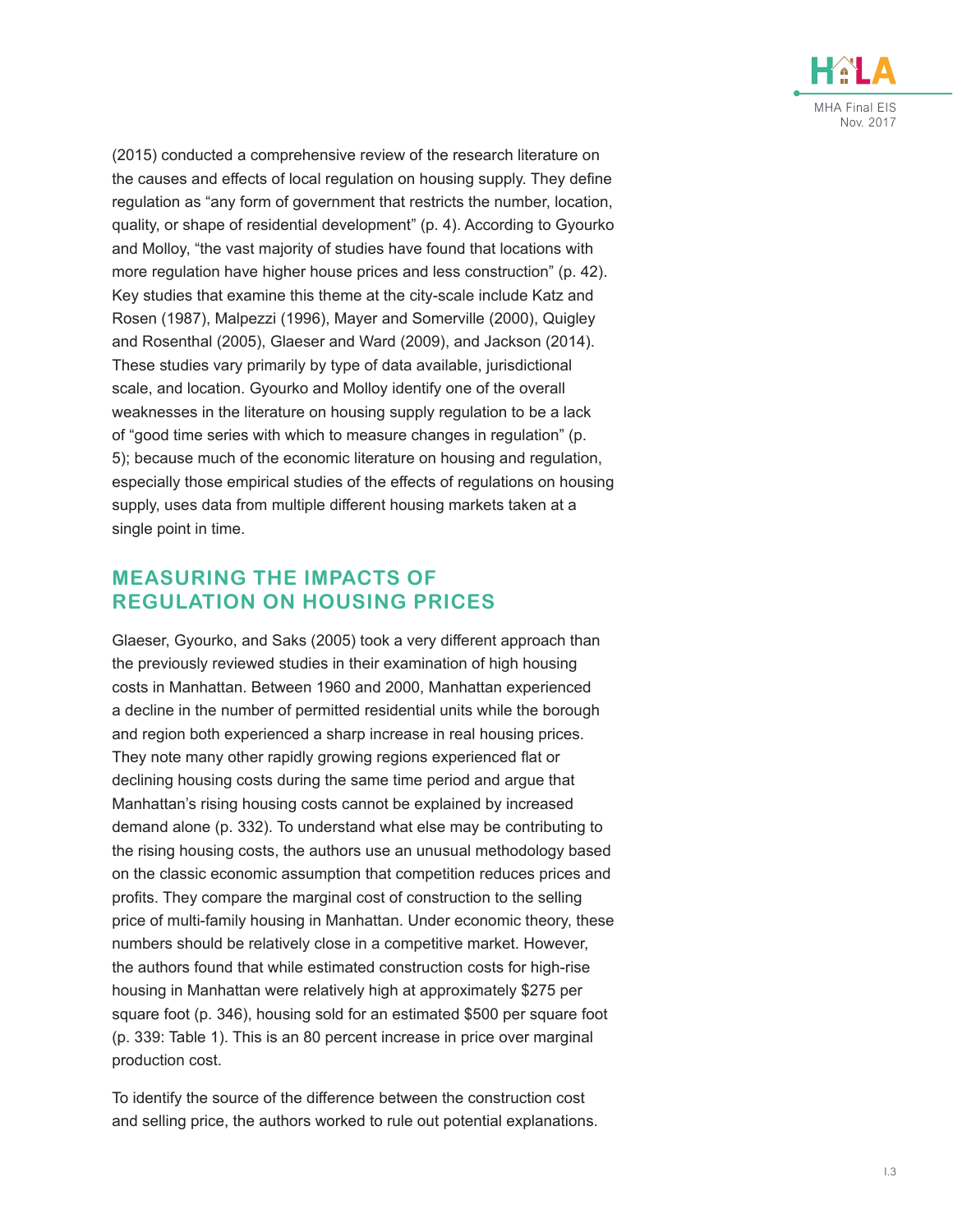

(2015) conducted a comprehensive review of the research literature on the causes and effects of local regulation on housing supply. They define regulation as "any form of government that restricts the number, location, quality, or shape of residential development" (p. 4). According to Gyourko and Molloy, "the vast majority of studies have found that locations with more regulation have higher house prices and less construction" (p. 42). Key studies that examine this theme at the city-scale include Katz and Rosen (1987), Malpezzi (1996), Mayer and Somerville (2000), Quigley and Rosenthal (2005), Glaeser and Ward (2009), and Jackson (2014). These studies vary primarily by type of data available, jurisdictional scale, and location. Gyourko and Molloy identify one of the overall weaknesses in the literature on housing supply regulation to be a lack of "good time series with which to measure changes in regulation" (p. 5); because much of the economic literature on housing and regulation, especially those empirical studies of the effects of regulations on housing supply, uses data from multiple different housing markets taken at a single point in time.

#### **MEASURING THE IMPACTS OF REGULATION ON HOUSING PRICES**

Glaeser, Gyourko, and Saks (2005) took a very different approach than the previously reviewed studies in their examination of high housing costs in Manhattan. Between 1960 and 2000, Manhattan experienced a decline in the number of permitted residential units while the borough and region both experienced a sharp increase in real housing prices. They note many other rapidly growing regions experienced flat or declining housing costs during the same time period and argue that Manhattan's rising housing costs cannot be explained by increased demand alone (p. 332). To understand what else may be contributing to the rising housing costs, the authors use an unusual methodology based on the classic economic assumption that competition reduces prices and profits. They compare the marginal cost of construction to the selling price of multi-family housing in Manhattan. Under economic theory, these numbers should be relatively close in a competitive market. However, the authors found that while estimated construction costs for high-rise housing in Manhattan were relatively high at approximately \$275 per square foot (p. 346), housing sold for an estimated \$500 per square foot (p. 339: Table 1). This is an 80 percent increase in price over marginal production cost.

To identify the source of the difference between the construction cost and selling price, the authors worked to rule out potential explanations.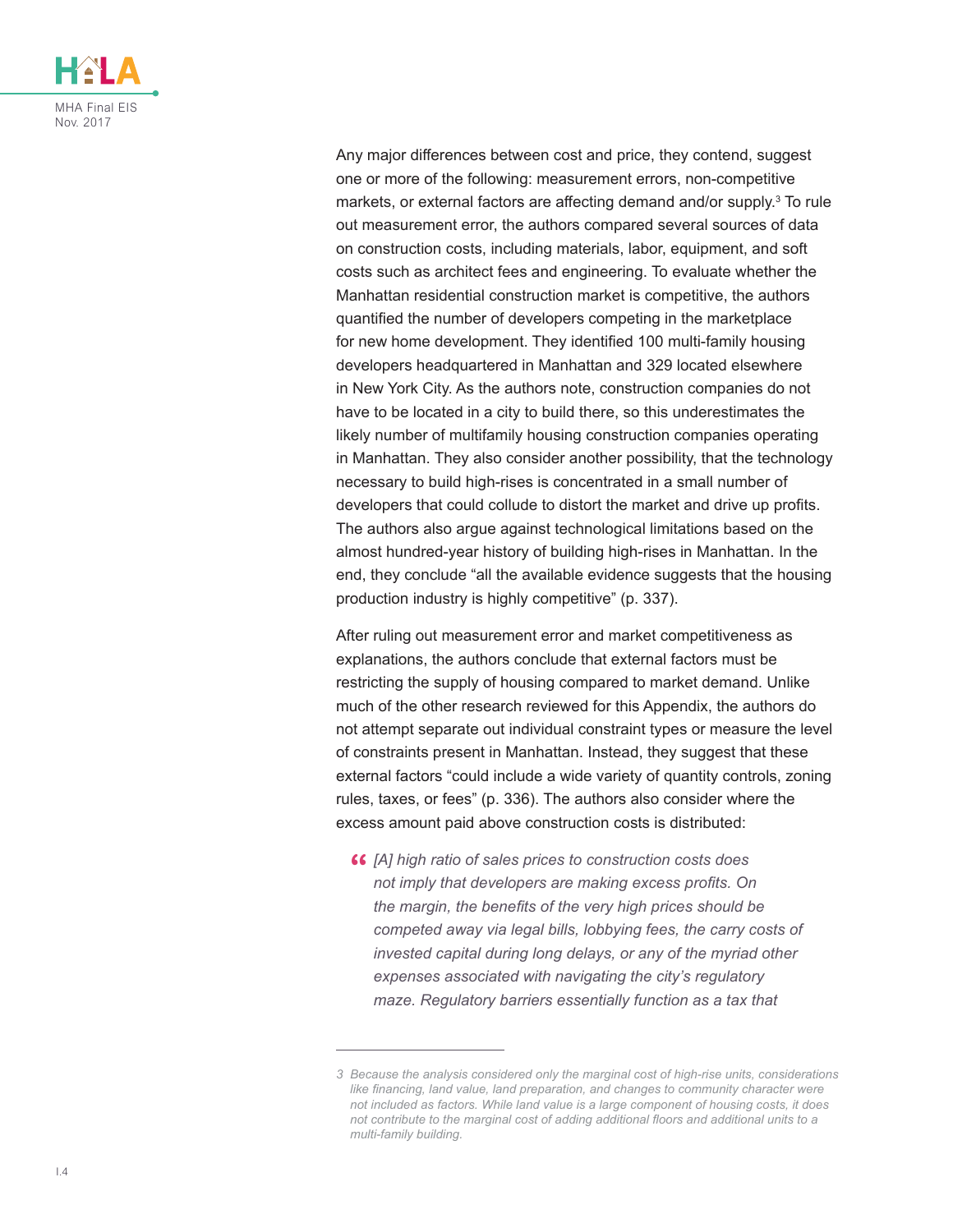

Any major differences between cost and price, they contend, suggest one or more of the following: measurement errors, non-competitive markets, or external factors are affecting demand and/or supply.<sup>3</sup> To rule out measurement error, the authors compared several sources of data on construction costs, including materials, labor, equipment, and soft costs such as architect fees and engineering. To evaluate whether the Manhattan residential construction market is competitive, the authors quantified the number of developers competing in the marketplace for new home development. They identified 100 multi-family housing developers headquartered in Manhattan and 329 located elsewhere in New York City. As the authors note, construction companies do not have to be located in a city to build there, so this underestimates the likely number of multifamily housing construction companies operating in Manhattan. They also consider another possibility, that the technology necessary to build high-rises is concentrated in a small number of developers that could collude to distort the market and drive up profits. The authors also argue against technological limitations based on the almost hundred-year history of building high-rises in Manhattan. In the end, they conclude "all the available evidence suggests that the housing production industry is highly competitive" (p. 337).

After ruling out measurement error and market competitiveness as explanations, the authors conclude that external factors must be restricting the supply of housing compared to market demand. Unlike much of the other research reviewed for this Appendix, the authors do not attempt separate out individual constraint types or measure the level of constraints present in Manhattan. Instead, they suggest that these external factors "could include a wide variety of quantity controls, zoning rules, taxes, or fees" (p. 336). The authors also consider where the excess amount paid above construction costs is distributed:

**"** *[A] high ratio of sales prices to construction costs does not imply that developers are making excess profits. On the margin, the benefits of the very high prices should be competed away via legal bills, lobbying fees, the carry costs of invested capital during long delays, or any of the myriad other expenses associated with navigating the city's regulatory maze. Regulatory barriers essentially function as a tax that* 

*<sup>3</sup> Because the analysis considered only the marginal cost of high-rise units, considerations like financing, land value, land preparation, and changes to community character were not included as factors. While land value is a large component of housing costs, it does not contribute to the marginal cost of adding additional floors and additional units to a multi-family building.*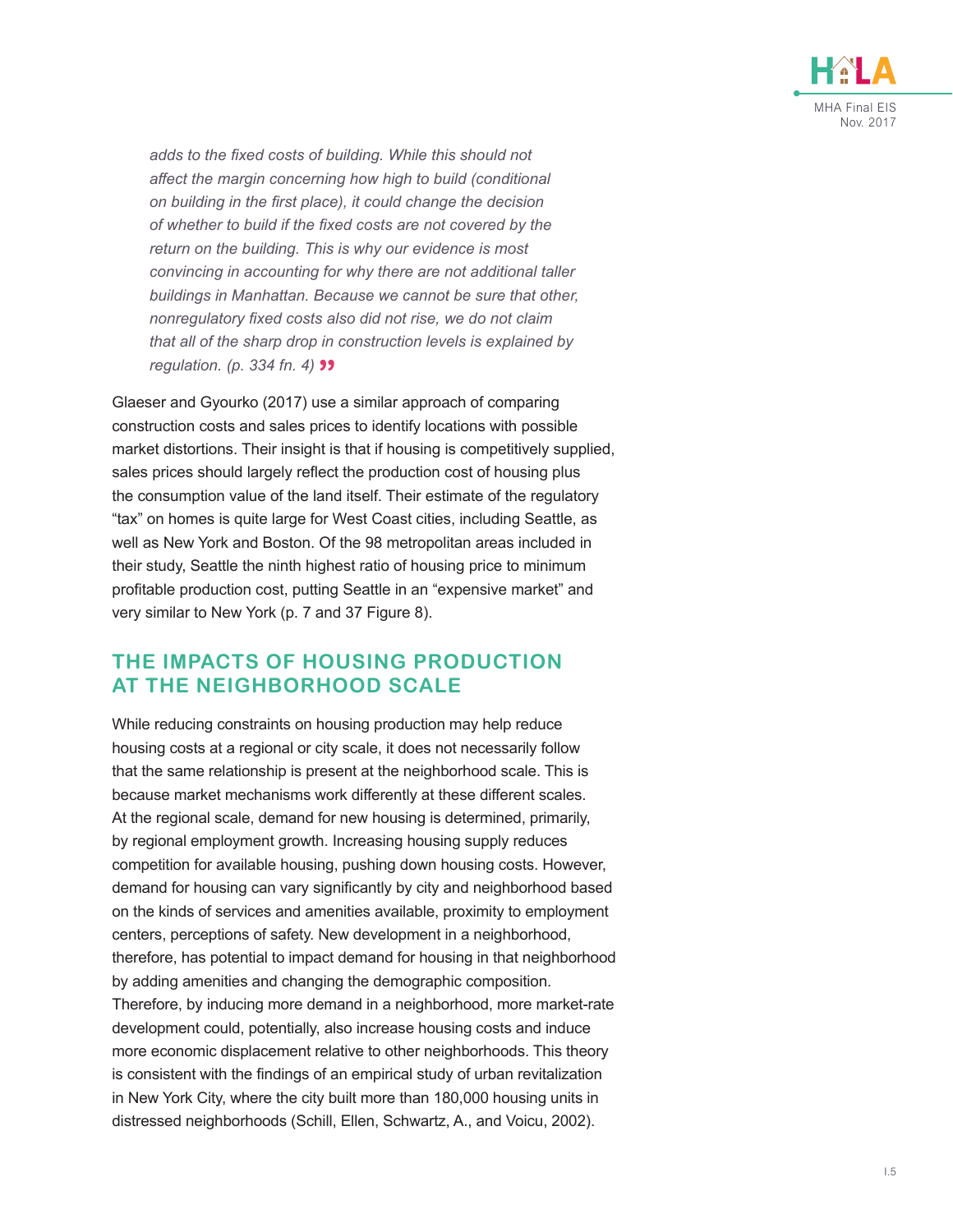

*adds to the fixed costs of building. While this should not affect the margin concerning how high to build (conditional on building in the first place), it could change the decision of whether to build if the fixed costs are not covered by the return on the building. This is why our evidence is most convincing in accounting for why there are not additional taller buildings in Manhattan. Because we cannot be sure that other, nonregulatory fixed costs also did not rise, we do not claim that all of the sharp drop in construction levels is explained by regulation. (p. 334 fn. 4)* **99** 

Glaeser and Gyourko (2017) use a similar approach of comparing construction costs and sales prices to identify locations with possible market distortions. Their insight is that if housing is competitively supplied, sales prices should largely reflect the production cost of housing plus the consumption value of the land itself. Their estimate of the regulatory "tax" on homes is quite large for West Coast cities, including Seattle, as well as New York and Boston. Of the 98 metropolitan areas included in their study, Seattle the ninth highest ratio of housing price to minimum profitable production cost, putting Seattle in an "expensive market" and very similar to New York (p. 7 and 37 Figure 8).

#### **THE IMPACTS OF HOUSING PRODUCTION AT THE NEIGHBORHOOD SCALE**

While reducing constraints on housing production may help reduce housing costs at a regional or city scale, it does not necessarily follow that the same relationship is present at the neighborhood scale. This is because market mechanisms work differently at these different scales. At the regional scale, demand for new housing is determined, primarily, by regional employment growth. Increasing housing supply reduces competition for available housing, pushing down housing costs. However, demand for housing can vary significantly by city and neighborhood based on the kinds of services and amenities available, proximity to employment centers, perceptions of safety. New development in a neighborhood, therefore, has potential to impact demand for housing in that neighborhood by adding amenities and changing the demographic composition. Therefore, by inducing more demand in a neighborhood, more market-rate development could, potentially, also increase housing costs and induce more economic displacement relative to other neighborhoods. This theory is consistent with the findings of an empirical study of urban revitalization in New York City, where the city built more than 180,000 housing units in distressed neighborhoods (Schill, Ellen, Schwartz, A., and Voicu, 2002).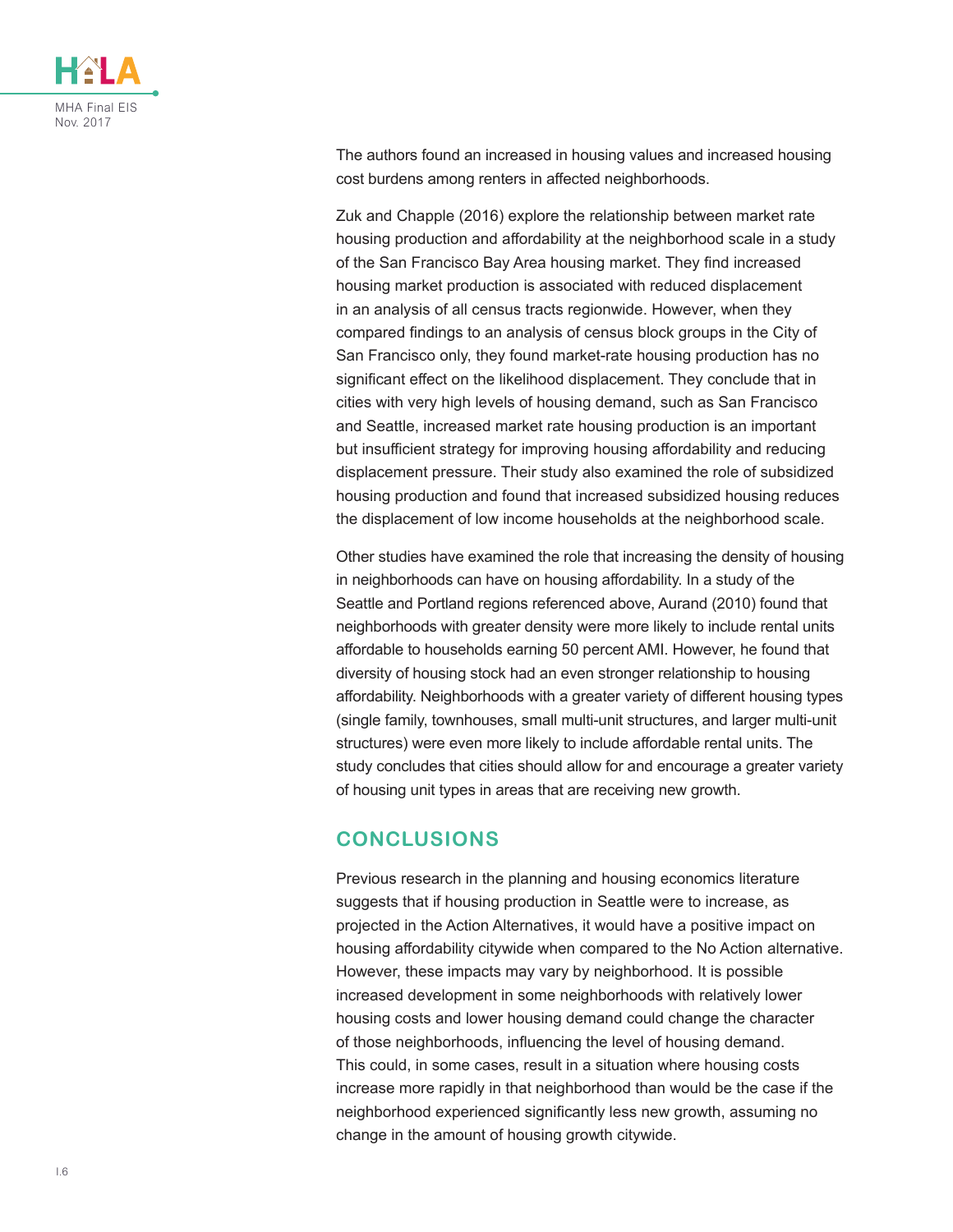

The authors found an increased in housing values and increased housing cost burdens among renters in affected neighborhoods.

Zuk and Chapple (2016) explore the relationship between market rate housing production and affordability at the neighborhood scale in a study of the San Francisco Bay Area housing market. They find increased housing market production is associated with reduced displacement in an analysis of all census tracts regionwide. However, when they compared findings to an analysis of census block groups in the City of San Francisco only, they found market-rate housing production has no significant effect on the likelihood displacement. They conclude that in cities with very high levels of housing demand, such as San Francisco and Seattle, increased market rate housing production is an important but insufficient strategy for improving housing affordability and reducing displacement pressure. Their study also examined the role of subsidized housing production and found that increased subsidized housing reduces the displacement of low income households at the neighborhood scale.

Other studies have examined the role that increasing the density of housing in neighborhoods can have on housing affordability. In a study of the Seattle and Portland regions referenced above, Aurand (2010) found that neighborhoods with greater density were more likely to include rental units affordable to households earning 50 percent AMI. However, he found that diversity of housing stock had an even stronger relationship to housing affordability. Neighborhoods with a greater variety of different housing types (single family, townhouses, small multi-unit structures, and larger multi-unit structures) were even more likely to include affordable rental units. The study concludes that cities should allow for and encourage a greater variety of housing unit types in areas that are receiving new growth.

#### **CONCLUSIONS**

Previous research in the planning and housing economics literature suggests that if housing production in Seattle were to increase, as projected in the Action Alternatives, it would have a positive impact on housing affordability citywide when compared to the No Action alternative. However, these impacts may vary by neighborhood. It is possible increased development in some neighborhoods with relatively lower housing costs and lower housing demand could change the character of those neighborhoods, influencing the level of housing demand. This could, in some cases, result in a situation where housing costs increase more rapidly in that neighborhood than would be the case if the neighborhood experienced significantly less new growth, assuming no change in the amount of housing growth citywide.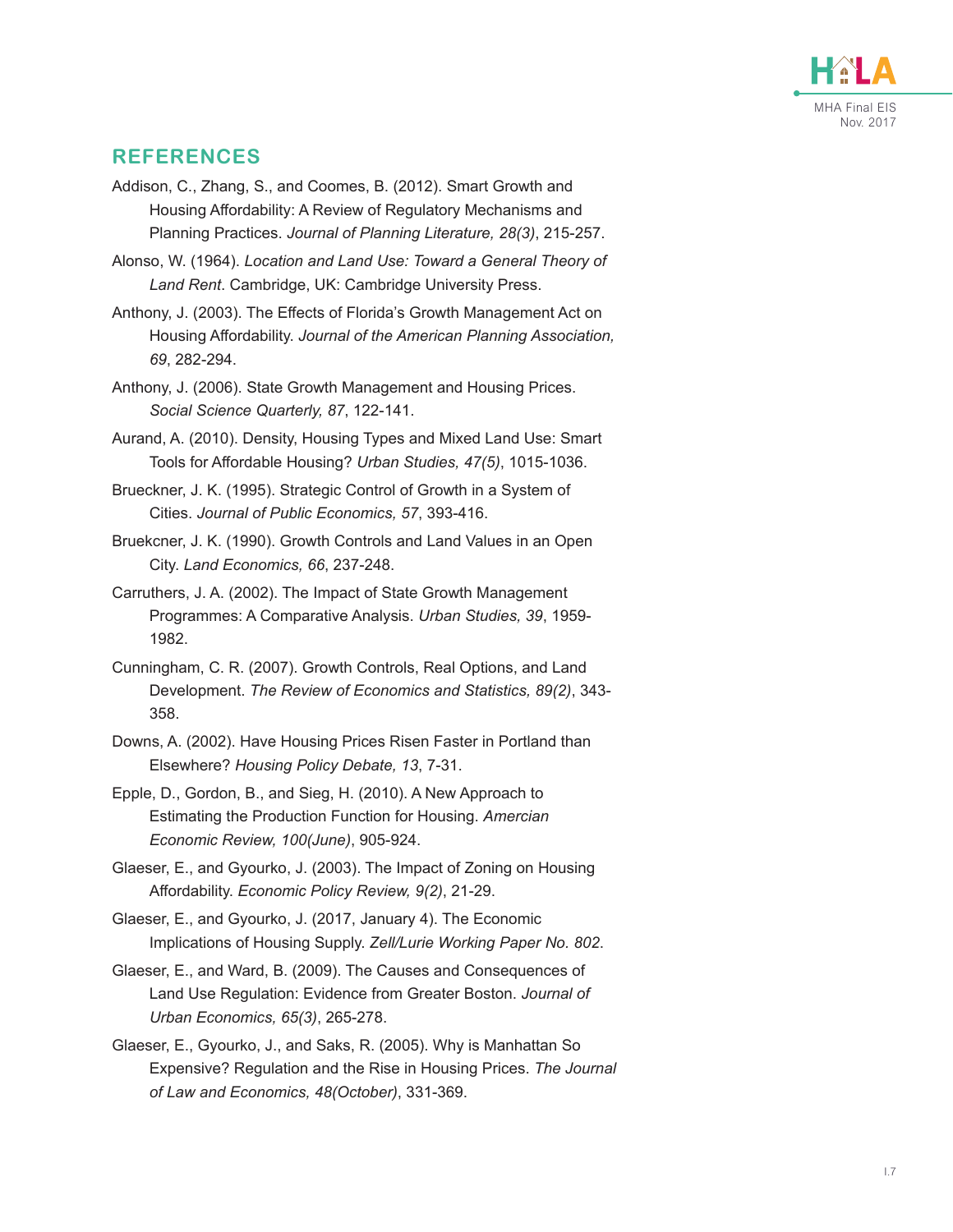

#### **REFERENCES**

- Addison, C., Zhang, S., and Coomes, B. (2012). Smart Growth and Housing Affordability: A Review of Regulatory Mechanisms and Planning Practices. *Journal of Planning Literature, 28(3)*, 215-257.
- Alonso, W. (1964). *Location and Land Use: Toward a General Theory of Land Rent*. Cambridge, UK: Cambridge University Press.
- Anthony, J. (2003). The Effects of Florida's Growth Management Act on Housing Affordability. *Journal of the American Planning Association, 69*, 282-294.
- Anthony, J. (2006). State Growth Management and Housing Prices. *Social Science Quarterly, 87*, 122-141.
- Aurand, A. (2010). Density, Housing Types and Mixed Land Use: Smart Tools for Affordable Housing? *Urban Studies, 47(5)*, 1015-1036.
- Brueckner, J. K. (1995). Strategic Control of Growth in a System of Cities. *Journal of Public Economics, 57*, 393-416.
- Bruekcner, J. K. (1990). Growth Controls and Land Values in an Open City. *Land Economics, 66*, 237-248.
- Carruthers, J. A. (2002). The Impact of State Growth Management Programmes: A Comparative Analysis. *Urban Studies, 39*, 1959- 1982.
- Cunningham, C. R. (2007). Growth Controls, Real Options, and Land Development. *The Review of Economics and Statistics, 89(2)*, 343- 358.
- Downs, A. (2002). Have Housing Prices Risen Faster in Portland than Elsewhere? *Housing Policy Debate, 13*, 7-31.
- Epple, D., Gordon, B., and Sieg, H. (2010). A New Approach to Estimating the Production Function for Housing. *Amercian Economic Review, 100(June)*, 905-924.
- Glaeser, E., and Gyourko, J. (2003). The Impact of Zoning on Housing Affordability. *Economic Policy Review, 9(2)*, 21-29.
- Glaeser, E., and Gyourko, J. (2017, January 4). The Economic Implications of Housing Supply. *Zell/Lurie Working Paper No. 802*.
- Glaeser, E., and Ward, B. (2009). The Causes and Consequences of Land Use Regulation: Evidence from Greater Boston. *Journal of Urban Economics, 65(3)*, 265-278.
- Glaeser, E., Gyourko, J., and Saks, R. (2005). Why is Manhattan So Expensive? Regulation and the Rise in Housing Prices. *The Journal of Law and Economics, 48(October)*, 331-369.